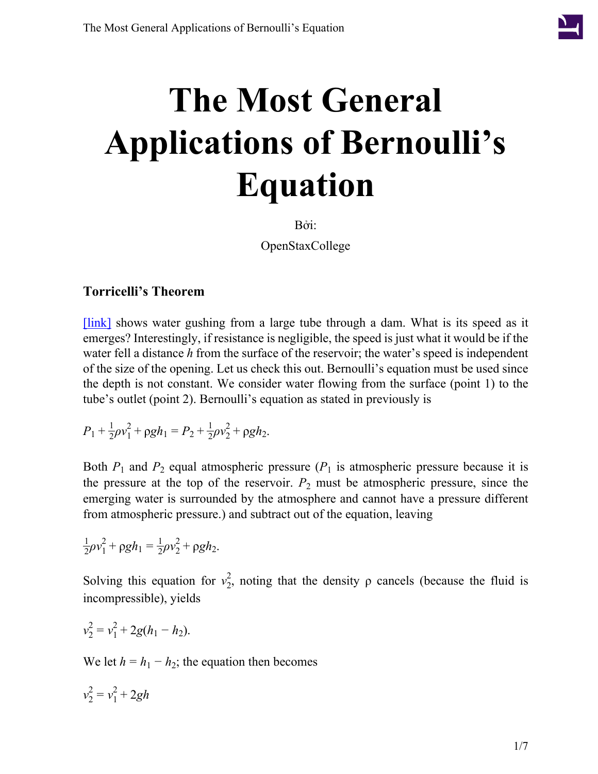

# **The Most General Applications of Bernoulli's Equation**

Bởi:

OpenStaxCollege

### **Torricelli's Theorem**

[\[link\]](#page-1-0) shows water gushing from a large tube through a dam. What is its speed as it emerges? Interestingly, if resistance is negligible, the speed is just what it would be if the water fell a distance *h* from the surface of the reservoir; the water's speed is independent of the size of the opening. Let us check this out. Bernoulli's equation must be used since the depth is not constant. We consider water flowing from the surface (point 1) to the tube's outlet (point 2). Bernoulli's equation as stated in previously is

$$
P_1 + \frac{1}{2}\rho v_1^2 + \rho g h_1 = P_2 + \frac{1}{2}\rho v_2^2 + \rho g h_2.
$$

Both  $P_1$  and  $P_2$  equal atmospheric pressure ( $P_1$  is atmospheric pressure because it is the pressure at the top of the reservoir.  $P_2$  must be atmospheric pressure, since the emerging water is surrounded by the atmosphere and cannot have a pressure different from atmospheric pressure.) and subtract out of the equation, leaving

$$
\frac{1}{2}\rho v_1^2 + \rho g h_1 = \frac{1}{2}\rho v_2^2 + \rho g h_2.
$$

Solving this equation for  $v_2^2$ , noting that the density  $\rho$  cancels (because the fluid is incompressible), yields

$$
v_2^2 = v_1^2 + 2g(h_1 - h_2).
$$

We let  $h = h_1 - h_2$ ; the equation then becomes

$$
v_2^2 = v_1^2 + 2gh
$$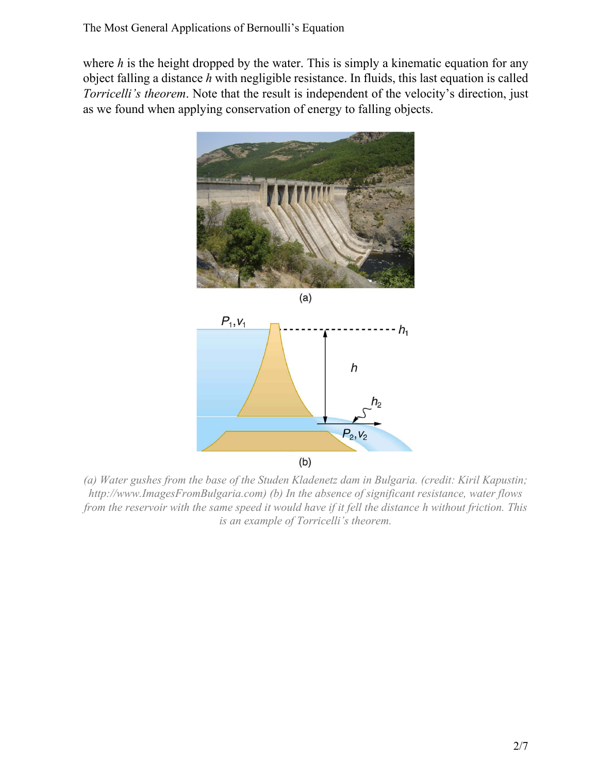<span id="page-1-0"></span>where *h* is the height dropped by the water. This is simply a kinematic equation for any object falling a distance *h* with negligible resistance. In fluids, this last equation is called *Torricelli's theorem*. Note that the result is independent of the velocity's direction, just as we found when applying conservation of energy to falling objects.





*(a) Water gushes from the base of the Studen Kladenetz dam in Bulgaria. (credit: Kiril Kapustin; http://www.ImagesFromBulgaria.com) (b) In the absence of significant resistance, water flows from the reservoir with the same speed it would have if it fell the distance h without friction. This is an example of Torricelli's theorem.*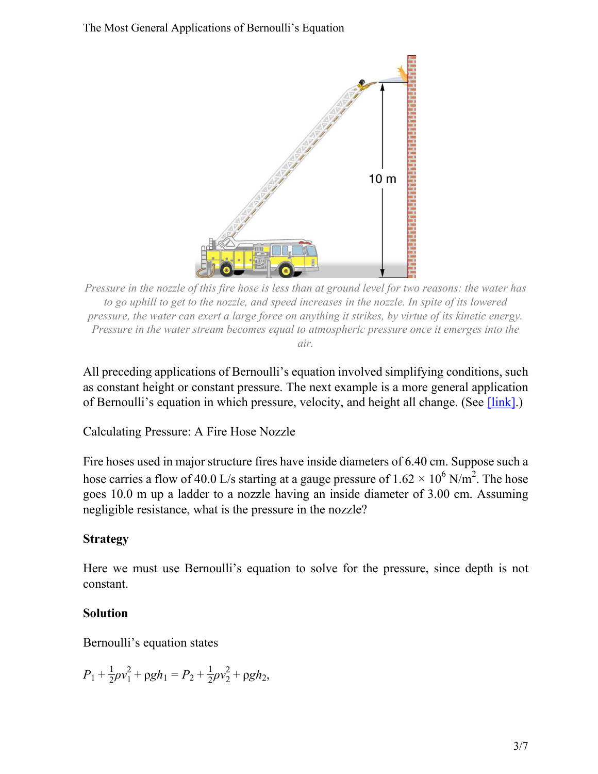<span id="page-2-0"></span>

*Pressure in the nozzle of this fire hose is less than at ground level for two reasons: the water has to go uphill to get to the nozzle, and speed increases in the nozzle. In spite of its lowered pressure, the water can exert a large force on anything it strikes, by virtue of its kinetic energy. Pressure in the water stream becomes equal to atmospheric pressure once it emerges into the air.*

All preceding applications of Bernoulli's equation involved simplifying conditions, such as constant height or constant pressure. The next example is a more general application of Bernoulli's equation in which pressure, velocity, and height all change. (See [\[link\].](#page-2-0))

Calculating Pressure: A Fire Hose Nozzle

Fire hoses used in major structure fires have inside diameters of 6.40 cm. Suppose such a hose carries a flow of 40.0 L/s starting at a gauge pressure of  $1.62 \times 10^6$  N/m<sup>2</sup>. The hose goes 10.0 m up a ladder to a nozzle having an inside diameter of 3.00 cm. Assuming negligible resistance, what is the pressure in the nozzle?

#### **Strategy**

Here we must use Bernoulli's equation to solve for the pressure, since depth is not constant.

#### **Solution**

Bernoulli's equation states

$$
P_1 + \frac{1}{2}\rho v_1^2 + \rho g h_1 = P_2 + \frac{1}{2}\rho v_2^2 + \rho g h_2,
$$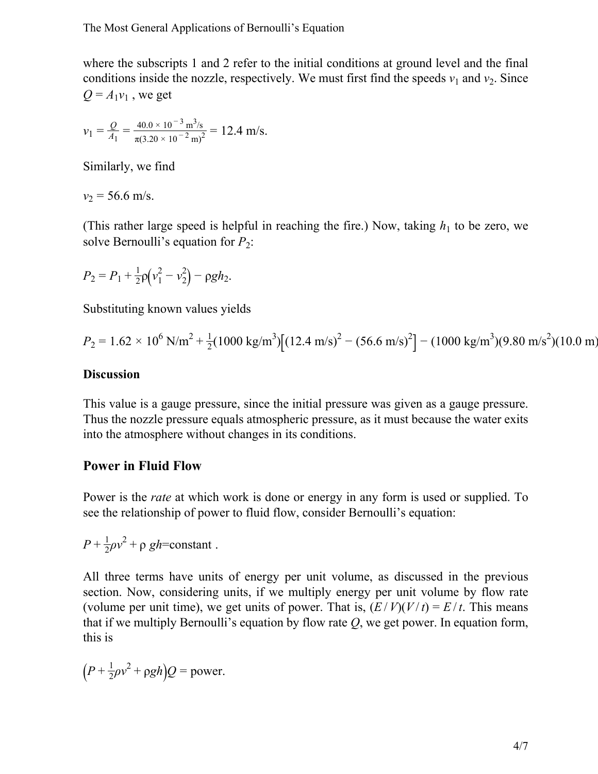where the subscripts 1 and 2 refer to the initial conditions at ground level and the final conditions inside the nozzle, respectively. We must first find the speeds  $v_1$  and  $v_2$ . Since  $Q = A_1 v_1$ , we get

$$
v_1 = \frac{Q}{A_1} = \frac{40.0 \times 10^{-3} \text{ m}^3\text{/s}}{\pi (3.20 \times 10^{-2} \text{ m})^2} = 12.4 \text{ m/s}.
$$

Similarly, we find

 $v_2$  = 56.6 m/s.

(This rather large speed is helpful in reaching the fire.) Now, taking  $h_1$  to be zero, we solve Bernoulli's equation for  $P_2$ :

$$
P_2 = P_1 + \frac{1}{2}\rho(v_1^2 - v_2^2) - \rho g h_2.
$$

Substituting known values yields

$$
P_2 = 1.62 \times 10^6 \text{ N/m}^2 + \frac{1}{2} (1000 \text{ kg/m}^3) \left[ (12.4 \text{ m/s})^2 - (56.6 \text{ m/s})^2 \right] - (1000 \text{ kg/m}^3) (9.80 \text{ m/s}^2) (10.0 \text{ m})
$$

#### **Discussion**

This value is a gauge pressure, since the initial pressure was given as a gauge pressure. Thus the nozzle pressure equals atmospheric pressure, as it must because the water exits into the atmosphere without changes in its conditions.

#### **Power in Fluid Flow**

Power is the *rate* at which work is done or energy in any form is used or supplied. To see the relationship of power to fluid flow, consider Bernoulli's equation:

 $P + \frac{1}{2}$  $\frac{1}{2}\rho v^2 + \rho gh = constant$ .

All three terms have units of energy per unit volume, as discussed in the previous section. Now, considering units, if we multiply energy per unit volume by flow rate (volume per unit time), we get units of power. That is,  $(E/V)(V/t) = E/t$ . This means that if we multiply Bernoulli's equation by flow rate *Q*, we get power. In equation form, this is

$$
(P + \frac{1}{2}\rho v^2 + \rho g h)Q = \text{power}.
$$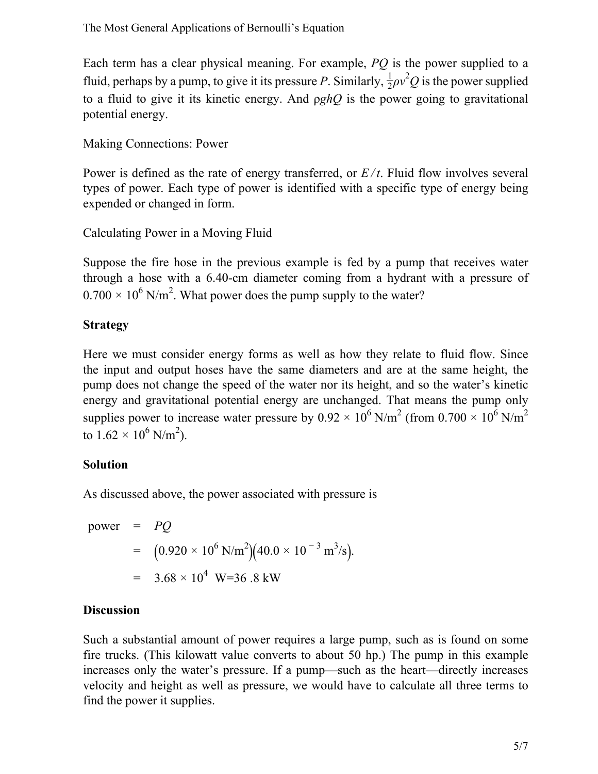Each term has a clear physical meaning. For example, *PQ* is the power supplied to a fluid, perhaps by a pump, to give it its pressure *P*. Similarly,  $\frac{1}{2}\rho v^2 Q$  is the power supplied to a fluid to give it its kinetic energy. And ρ*ghQ* is the power going to gravitational potential energy.

Making Connections: Power

Power is defined as the rate of energy transferred, or  $E/t$ . Fluid flow involves several types of power. Each type of power is identified with a specific type of energy being expended or changed in form.

Calculating Power in a Moving Fluid

Suppose the fire hose in the previous example is fed by a pump that receives water through a hose with a 6.40-cm diameter coming from a hydrant with a pressure of  $0.700 \times 10^6$  N/m<sup>2</sup>. What power does the pump supply to the water?

#### **Strategy**

Here we must consider energy forms as well as how they relate to fluid flow. Since the input and output hoses have the same diameters and are at the same height, the pump does not change the speed of the water nor its height, and so the water's kinetic energy and gravitational potential energy are unchanged. That means the pump only supplies power to increase water pressure by  $0.92 \times 10^6$  N/m<sup>2</sup> (from  $0.700 \times 10^6$  N/m<sup>2</sup> to  $1.62 \times 10^6$  N/m<sup>2</sup>).

### **Solution**

As discussed above, the power associated with pressure is

power = *PQ* =  $(0.920 \times 10^6 \text{ N/m}^2)(40.0 \times 10^{-3} \text{ m}^3/\text{s}).$  $=$  3.68  $\times$  10<sup>4</sup> W=36 .8 kW

#### **Discussion**

Such a substantial amount of power requires a large pump, such as is found on some fire trucks. (This kilowatt value converts to about 50 hp.) The pump in this example increases only the water's pressure. If a pump—such as the heart—directly increases velocity and height as well as pressure, we would have to calculate all three terms to find the power it supplies.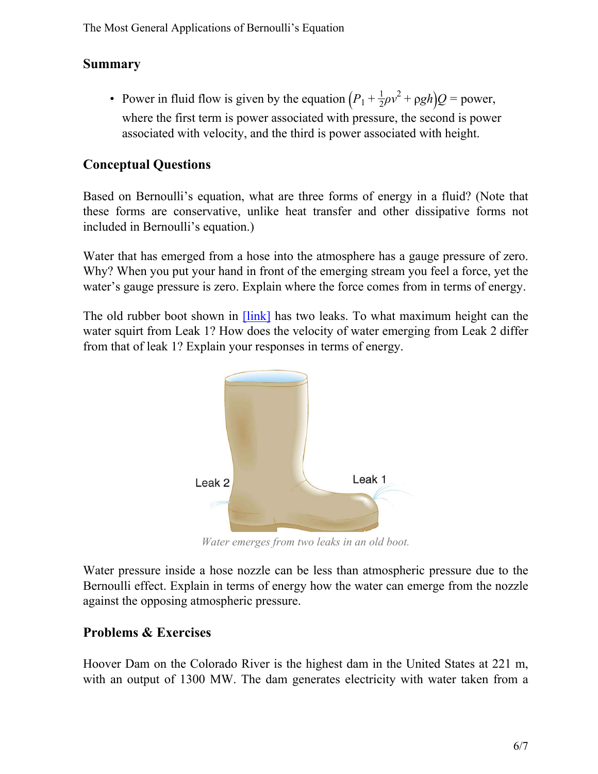## **Summary**

• Power in fluid flow is given by the equation  $\left(P_1 + \frac{1}{2}\right)$  $\frac{1}{2}\rho v^2 + \rho g h$ )*Q* = power, where the first term is power associated with pressure, the second is power associated with velocity, and the third is power associated with height.

## **Conceptual Questions**

Based on Bernoulli's equation, what are three forms of energy in a fluid? (Note that these forms are conservative, unlike heat transfer and other dissipative forms not included in Bernoulli's equation.)

Water that has emerged from a hose into the atmosphere has a gauge pressure of zero. Why? When you put your hand in front of the emerging stream you feel a force, yet the water's gauge pressure is zero. Explain where the force comes from in terms of energy.

<span id="page-5-0"></span>The old rubber boot shown in  $[\text{link}]$  has two leaks. To what maximum height can the water squirt from Leak 1? How does the velocity of water emerging from Leak 2 differ from that of leak 1? Explain your responses in terms of energy.



*Water emerges from two leaks in an old boot.*

Water pressure inside a hose nozzle can be less than atmospheric pressure due to the Bernoulli effect. Explain in terms of energy how the water can emerge from the nozzle against the opposing atmospheric pressure.

## **Problems & Exercises**

Hoover Dam on the Colorado River is the highest dam in the United States at 221 m, with an output of 1300 MW. The dam generates electricity with water taken from a